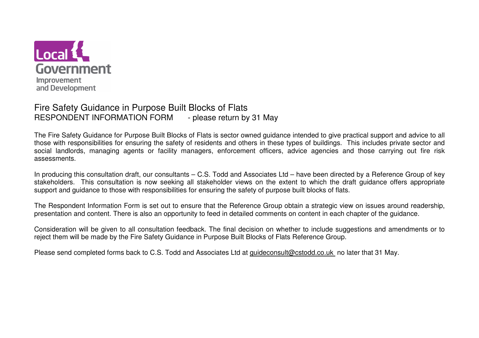

#### Fire Safety Guidance in Purpose Built Blocks of Flats - please return by 31 May RESPONDENT INFORMATION FORM

The Fire Safety Guidance for Purpose Built Blocks of Flats is sector owned guidance intended to give practical support and advice to all those with responsibilities for ensuring the safety of residents and others in these types of buildings. This includes private sector and social landlords, managing agents or facility managers, enforcement officers, advice agencies and those carrying out fire risk assessments.

In producing this consultation draft, our consultants – C.S. Todd and Associates Ltd – have been directed by a Reference Group of key stakeholders. This consultation is now seeking all stakeholder views on the extent to which the draft guidance offers appropriate support and guidance to those with responsibilities for ensuring the safety of purpose built blocks of flats.

The Respondent Information Form is set out to ensure that the Reference Group obtain a strategic view on issues around readership, presentation and content. There is also an opportunity to feed in detailed comments on content in each chapter of the guidance.

Consideration will be given to all consultation feedback. The final decision on whether to include suggestions and amendments or to reject them will be made by the Fire Safety Guidance in Purpose Built Blocks of Flats Reference Group.

Please send completed forms back to C.S. Todd and Associates Ltd at guideconsult@cstodd.co.uk no later that 31 May.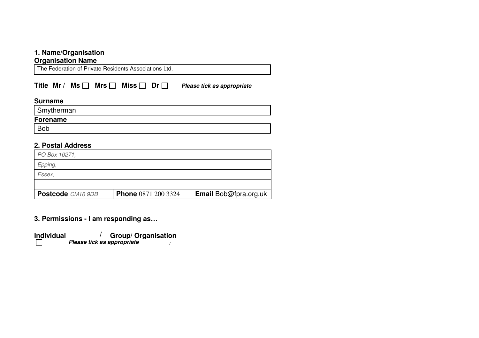## **1. Name/Organisation**

## **Organisation Name**

The Federation of Private Residents Associations Ltd.

Title Mr / Ms **Mrs** Miss Dr **Dr** Please tick as appropriate

#### **Surname**

| Smytherman      |  |
|-----------------|--|
| <b>Forename</b> |  |
| <b>Bob</b>      |  |

# **2. Postal Address**

| Postcode CM16 9DB | <b>Phone</b> 0871 200 3324 | <b>Email Bob@fpra.org.uk</b> |
|-------------------|----------------------------|------------------------------|
|                   |                            |                              |
| Essex.            |                            |                              |
| Epping,           |                            |                              |
| PO Box 10271,     |                            |                              |

**3. Permissions - I am responding as…** 

| <b>Individual</b> | <b>Group/ Organisation</b> |
|-------------------|----------------------------|
|                   | Please tick as appropriate |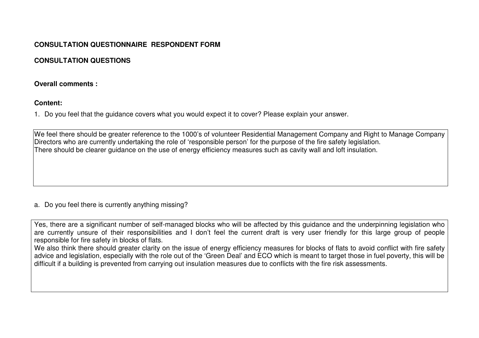# **CONSULTATION QUESTIONNAIRE RESPONDENT FORM**

# **CONSULTATION QUESTIONS**

# **Overall comments :**

# **Content:**

1. Do you feel that the guidance covers what you would expect it to cover? Please explain your answer.

We feel there should be greater reference to the 1000's of volunteer Residential Management Company and Right to Manage Company Directors who are currently undertaking the role of 'responsible person' for the purpose of the fire safety legislation. There should be clearer guidance on the use of energy efficiency measures such as cavity wall and loft insulation.

# a. Do you feel there is currently anything missing?

Yes, there are a significant number of self-managed blocks who will be affected by this guidance and the underpinning legislation who are currently unsure of their responsibilities and I don't feel the current draft is very user friendly for this large group of people responsible for fire safety in blocks of flats.

 We also think there should greater clarity on the issue of energy efficiency measures for blocks of flats to avoid conflict with fire safety advice and legislation, especially with the role out of the 'Green Deal' and ECO which is meant to target those in fuel poverty, this will be difficult if a building is prevented from carrying out insulation measures due to conflicts with the fire risk assessments.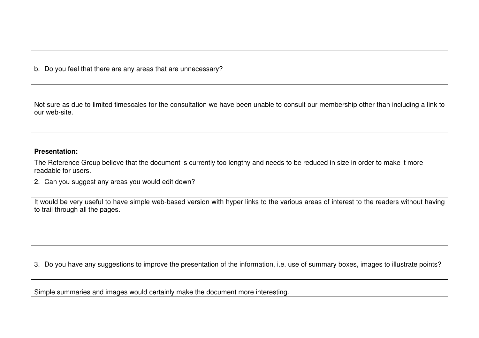b. Do you feel that there are any areas that are unnecessary?

Not sure as due to limited timescales for the consultation we have been unable to consult our membership other than including a link to our web-site.

#### **Presentation:**

The Reference Group believe that the document is currently too lengthy and needs to be reduced in size in order to make it more readable for users.

2. Can you suggest any areas you would edit down?

It would be very useful to have simple web-based version with hyper links to the various areas of interest to the readers without having to trail through all the pages.

3. Do you have any suggestions to improve the presentation of the information, i.e. use of summary boxes, images to illustrate points?

Simple summaries and images would certainly make the document more interesting.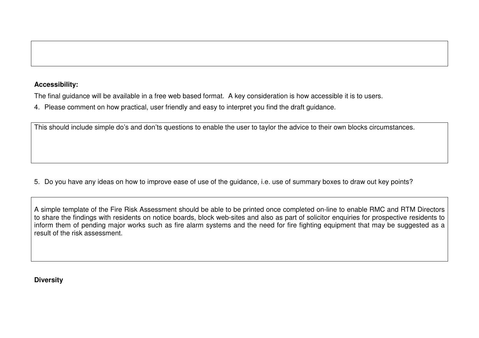### **Accessibility:**

The final guidance will be available in a free web based format. A key consideration is how accessible it is to users.

4. Please comment on how practical, user friendly and easy to interpret you find the draft guidance.

This should include simple do's and don'ts questions to enable the user to taylor the advice to their own blocks circumstances.

5. Do you have any ideas on how to improve ease of use of the guidance, i.e. use of summary boxes to draw out key points?

A simple template of the Fire Risk Assessment should be able to be printed once completed on-line to enable RMC and RTM Directors to share the findings with residents on notice boards, block web-sites and also as part of solicitor enquiries for prospective residents to inform them of pending major works such as fire alarm systems and the need for fire fighting equipment that may be suggested as a result of the risk assessment.

**Diversity**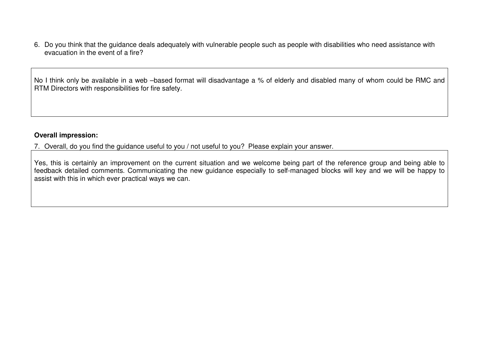6. Do you think that the guidance deals adequately with vulnerable people such as people with disabilities who need assistance with evacuation in the event of a fire?

No I think only be available in a web –based format will disadvantage a % of elderly and disabled many of whom could be RMC and RTM Directors with responsibilities for fire safety.

### **Overall impression:**

7. Overall, do you find the guidance useful to you / not useful to you? Please explain your answer.

Yes, this is certainly an improvement on the current situation and we welcome being part of the reference group and being able to feedback detailed comments. Communicating the new guidance especially to self-managed blocks will key and we will be happy to assist with this in which ever practical ways we can.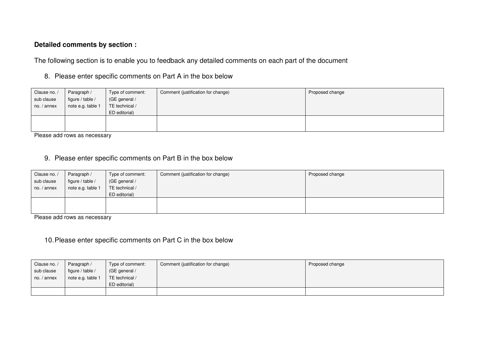# **Detailed comments by section :**

The following section is to enable you to feedback any detailed comments on each part of the document

8. Please enter specific comments on Part A in the box below

| Clause no. / | Paragraph /       | Type of comment: | Comment (justification for change) | Proposed change |
|--------------|-------------------|------------------|------------------------------------|-----------------|
| sub clause   | figure / table /  | (GE general /    |                                    |                 |
| no. / annex  | note e.g. table 1 | TE technical /   |                                    |                 |
|              |                   | ED editorial)    |                                    |                 |
|              |                   |                  |                                    |                 |
|              |                   |                  |                                    |                 |

Please add rows as necessary

9. Please enter specific comments on Part B in the box below

| Clause no. / | Paragraph /       | Type of comment: | Comment (justification for change) | Proposed change |
|--------------|-------------------|------------------|------------------------------------|-----------------|
| sub clause   | figure / table /  | (GE general /    |                                    |                 |
| no. / annex  | note e.g. table 1 | TE technical /   |                                    |                 |
|              |                   | ED editorial)    |                                    |                 |
|              |                   |                  |                                    |                 |
|              |                   |                  |                                    |                 |

Please add rows as necessary

# 10. Please enter specific comments on Part C in the box below

| Clause no. / | Paragraph /       | Type of comment: | Comment (justification for change) | Proposed change |
|--------------|-------------------|------------------|------------------------------------|-----------------|
| sub clause   | figure / table /  | (GE general /    |                                    |                 |
| no. / annex  | note e.g. table 1 | TE technical /   |                                    |                 |
|              |                   | ED editorial)    |                                    |                 |
|              |                   |                  |                                    |                 |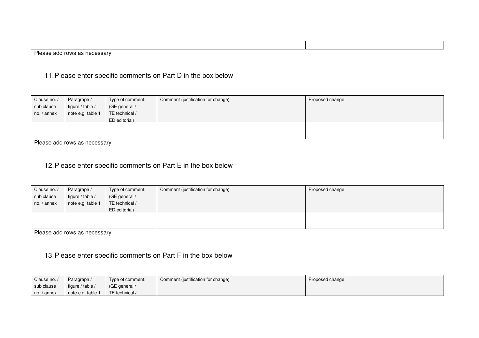| Please<br>$r$ <sup>11</sup><br>nn.<br>$\cdots$<br>1 L J L<br>, , |  |  |  |  |  |
|------------------------------------------------------------------|--|--|--|--|--|

# 11. Please enter specific comments on Part D in the box below

| Clause no. / | Paragraph /       | Type of comment: | Comment (justification for change) | Proposed change |
|--------------|-------------------|------------------|------------------------------------|-----------------|
| sub clause   | figure / table /  | (GE general /    |                                    |                 |
| no. / annex  | note e.g. table 1 | TE technical /   |                                    |                 |
|              |                   | ED editorial)    |                                    |                 |
|              |                   |                  |                                    |                 |
|              |                   |                  |                                    |                 |

Please add rows as necessary

# 12. Please enter specific comments on Part E in the box below

| Paragraph /       | Type of comment: | Comment (justification for change) | Proposed change |
|-------------------|------------------|------------------------------------|-----------------|
| figure / table /  | (GE general /    |                                    |                 |
| note e.g. table 1 | TE technical /   |                                    |                 |
|                   | ED editorial)    |                                    |                 |
|                   |                  |                                    |                 |
|                   |                  |                                    |                 |
|                   |                  |                                    |                 |

Please add rows as necessary

# 13. Please enter specific comments on Part F in the box below

| Clause no.                           | Paragraph /       | Type of comment: | Comment (justification for change) | Proposed change |
|--------------------------------------|-------------------|------------------|------------------------------------|-----------------|
| sub clause                           | figure / table /  | (GE general /    |                                    |                 |
| $\overline{\phantom{a}}$ no. / annex | note e.g. table 1 | TE technical /   |                                    |                 |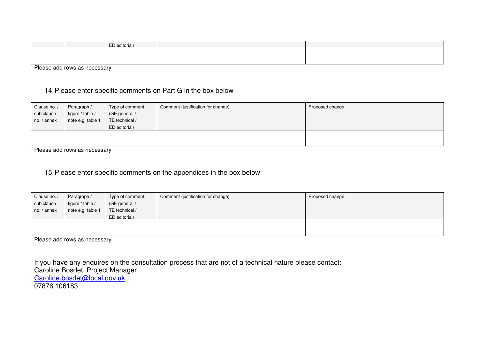|  | .  .<br>$-n$<br>ED editorial) |  |
|--|-------------------------------|--|
|  |                               |  |
|  |                               |  |

Please add rows as necessary

# 14. Please enter specific comments on Part G in the box below

| Clause no. /<br>sub clause<br>no. / annex | Paragraph /<br>figure / table /<br>note e.g. table 1 | Type of comment:<br>(GE general /<br>TE technical /<br>ED editorial) | Comment (justification for change) | Proposed change |
|-------------------------------------------|------------------------------------------------------|----------------------------------------------------------------------|------------------------------------|-----------------|
|                                           |                                                      |                                                                      |                                    |                 |

Please add rows as necessary

#### 15. Please enter specific comments on the appendices in the box below

| Clause no. /<br>sub clause<br>no. / annex | Paragraph /<br>figure / table / | Type of comment:<br>(GE general /<br>TE technical / | Comment (justification for change) | Proposed change |
|-------------------------------------------|---------------------------------|-----------------------------------------------------|------------------------------------|-----------------|
|                                           | note e.g. table 1               | ED editorial)                                       |                                    |                 |
|                                           |                                 |                                                     |                                    |                 |
|                                           |                                 |                                                     |                                    |                 |

Please add rows as necessary

If you have any enquires on the consultation process that are not of a technical nature please contact:

Caroline Bosdet. Project Manager

Caroline.bosdet@local.gov.uk

07876 106183